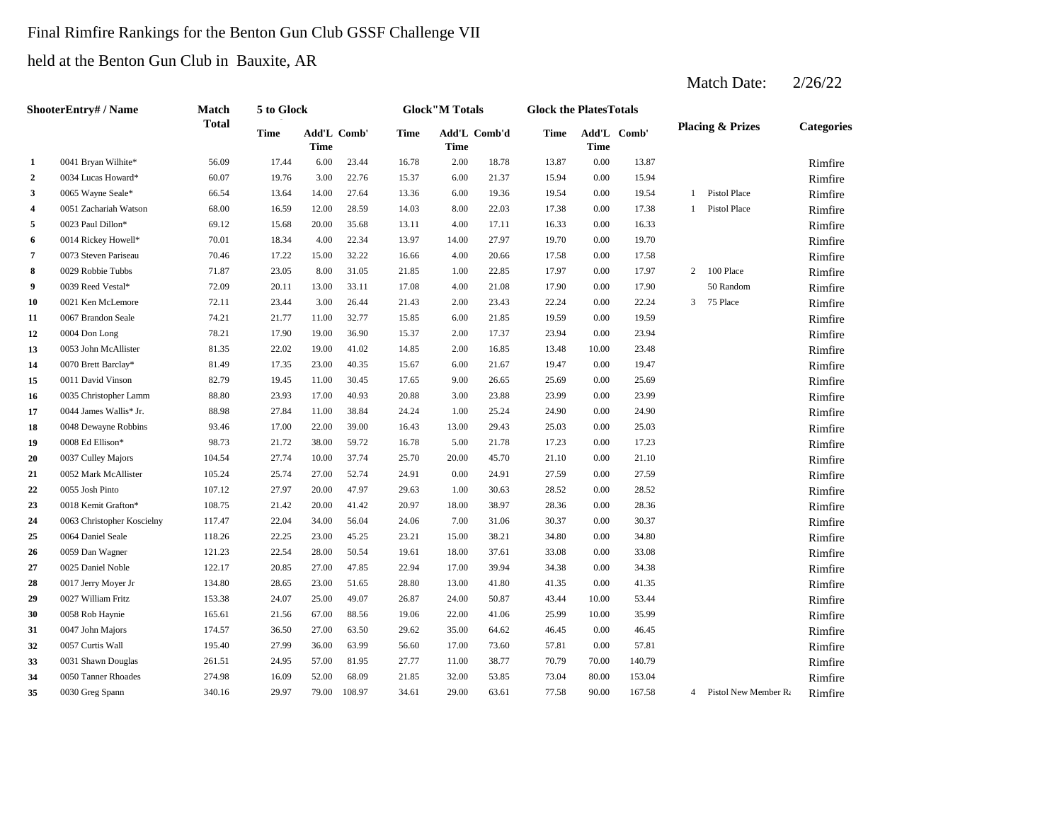## Final Rimfire Rankings for the Benton Gun Club GSSF Challenge VII

## held at the Benton Gun Club in Bauxite, AR

# Match Date:  $2/26/22$

|                         | ShooterEntry# / Name       | <b>Match</b> | 5 to Glock  |                            |        |             | <b>Glock</b> "M Totals |              | <b>Glock the PlatesTotals</b> |             |             |                |                             |                   |
|-------------------------|----------------------------|--------------|-------------|----------------------------|--------|-------------|------------------------|--------------|-------------------------------|-------------|-------------|----------------|-----------------------------|-------------------|
|                         |                            | <b>Total</b> | <b>Time</b> | Add'L Comb'<br><b>Time</b> |        | <b>Time</b> | <b>Time</b>            | Add'L Comb'd | Time                          | <b>Time</b> | Add'L Comb' |                | <b>Placing &amp; Prizes</b> | <b>Categories</b> |
| 1                       | 0041 Bryan Wilhite*        | 56.09        | 17.44       | 6.00                       | 23.44  | 16.78       | 2.00                   | 18.78        | 13.87                         | $0.00\,$    | 13.87       |                |                             | Rimfire           |
| $\mathbf{2}$            | 0034 Lucas Howard*         | 60.07        | 19.76       | 3.00                       | 22.76  | 15.37       | 6.00                   | 21.37        | 15.94                         | 0.00        | 15.94       |                |                             | Rimfire           |
| 3                       | 0065 Wayne Seale*          | 66.54        | 13.64       | 14.00                      | 27.64  | 13.36       | 6.00                   | 19.36        | 19.54                         | 0.00        | 19.54       | $\mathbf{1}$   | <b>Pistol Place</b>         | Rimfire           |
| $\overline{\mathbf{4}}$ | 0051 Zachariah Watson      | 68.00        | 16.59       | 12.00                      | 28.59  | 14.03       | 8.00                   | 22.03        | 17.38                         | 0.00        | 17.38       | $\mathbf{1}$   | Pistol Place                | Rimfire           |
| 5                       | 0023 Paul Dillon*          | 69.12        | 15.68       | 20.00                      | 35.68  | 13.11       | 4.00                   | 17.11        | 16.33                         | 0.00        | 16.33       |                |                             | Rimfire           |
| 6                       | 0014 Rickey Howell*        | 70.01        | 18.34       | 4.00                       | 22.34  | 13.97       | 14.00                  | 27.97        | 19.70                         | 0.00        | 19.70       |                |                             | Rimfire           |
| 7                       | 0073 Steven Pariseau       | 70.46        | 17.22       | 15.00                      | 32.22  | 16.66       | 4.00                   | 20.66        | 17.58                         | 0.00        | 17.58       |                |                             | Rimfire           |
| 8                       | 0029 Robbie Tubbs          | 71.87        | 23.05       | 8.00                       | 31.05  | 21.85       | 1.00                   | 22.85        | 17.97                         | 0.00        | 17.97       | $\overline{2}$ | 100 Place                   | Rimfire           |
| 9                       | 0039 Reed Vestal*          | 72.09        | 20.11       | 13.00                      | 33.11  | 17.08       | 4.00                   | 21.08        | 17.90                         | 0.00        | 17.90       |                | 50 Random                   | Rimfire           |
| 10                      | 0021 Ken McLemore          | 72.11        | 23.44       | 3.00                       | 26.44  | 21.43       | 2.00                   | 23.43        | 22.24                         | 0.00        | 22.24       | 3              | 75 Place                    | Rimfire           |
| 11                      | 0067 Brandon Seale         | 74.21        | 21.77       | 11.00                      | 32.77  | 15.85       | 6.00                   | 21.85        | 19.59                         | 0.00        | 19.59       |                |                             | Rimfire           |
| 12                      | 0004 Don Long              | 78.21        | 17.90       | 19.00                      | 36.90  | 15.37       | 2.00                   | 17.37        | 23.94                         | 0.00        | 23.94       |                |                             | Rimfire           |
| 13                      | 0053 John McAllister       | 81.35        | 22.02       | 19.00                      | 41.02  | 14.85       | 2.00                   | 16.85        | 13.48                         | 10.00       | 23.48       |                |                             | Rimfire           |
| 14                      | 0070 Brett Barclay*        | 81.49        | 17.35       | 23.00                      | 40.35  | 15.67       | 6.00                   | 21.67        | 19.47                         | 0.00        | 19.47       |                |                             | Rimfire           |
| 15                      | 0011 David Vinson          | 82.79        | 19.45       | 11.00                      | 30.45  | 17.65       | 9.00                   | 26.65        | 25.69                         | 0.00        | 25.69       |                |                             | Rimfire           |
| 16                      | 0035 Christopher Lamm      | 88.80        | 23.93       | 17.00                      | 40.93  | 20.88       | 3.00                   | 23.88        | 23.99                         | 0.00        | 23.99       |                |                             | Rimfire           |
| 17                      | 0044 James Wallis* Jr.     | 88.98        | 27.84       | 11.00                      | 38.84  | 24.24       | 1.00                   | 25.24        | 24.90                         | 0.00        | 24.90       |                |                             | Rimfire           |
| 18                      | 0048 Dewayne Robbins       | 93.46        | 17.00       | 22.00                      | 39.00  | 16.43       | 13.00                  | 29.43        | 25.03                         | 0.00        | 25.03       |                |                             | Rimfire           |
| 19                      | 0008 Ed Ellison*           | 98.73        | 21.72       | 38.00                      | 59.72  | 16.78       | 5.00                   | 21.78        | 17.23                         | 0.00        | 17.23       |                |                             | Rimfire           |
| 20                      | 0037 Culley Majors         | 104.54       | 27.74       | 10.00                      | 37.74  | 25.70       | 20.00                  | 45.70        | 21.10                         | 0.00        | 21.10       |                |                             | Rimfire           |
| 21                      | 0052 Mark McAllister       | 105.24       | 25.74       | 27.00                      | 52.74  | 24.91       | 0.00                   | 24.91        | 27.59                         | 0.00        | 27.59       |                |                             | Rimfire           |
| 22                      | 0055 Josh Pinto            | 107.12       | 27.97       | 20.00                      | 47.97  | 29.63       | 1.00                   | 30.63        | 28.52                         | 0.00        | 28.52       |                |                             | Rimfire           |
| 23                      | 0018 Kemit Grafton*        | 108.75       | 21.42       | 20.00                      | 41.42  | 20.97       | 18.00                  | 38.97        | 28.36                         | 0.00        | 28.36       |                |                             | Rimfire           |
| 24                      | 0063 Christopher Koscielny | 117.47       | 22.04       | 34.00                      | 56.04  | 24.06       | 7.00                   | 31.06        | 30.37                         | 0.00        | 30.37       |                |                             | Rimfire           |
| 25                      | 0064 Daniel Seale          | 118.26       | 22.25       | 23.00                      | 45.25  | 23.21       | 15.00                  | 38.21        | 34.80                         | 0.00        | 34.80       |                |                             | Rimfire           |
| 26                      | 0059 Dan Wagner            | 121.23       | 22.54       | 28.00                      | 50.54  | 19.61       | 18.00                  | 37.61        | 33.08                         | 0.00        | 33.08       |                |                             | Rimfire           |
| 27                      | 0025 Daniel Noble          | 122.17       | 20.85       | 27.00                      | 47.85  | 22.94       | 17.00                  | 39.94        | 34.38                         | 0.00        | 34.38       |                |                             | Rimfire           |
| 28                      | 0017 Jerry Moyer Jr        | 134.80       | 28.65       | 23.00                      | 51.65  | 28.80       | 13.00                  | 41.80        | 41.35                         | 0.00        | 41.35       |                |                             | Rimfire           |
| 29                      | 0027 William Fritz         | 153.38       | 24.07       | 25.00                      | 49.07  | 26.87       | 24.00                  | 50.87        | 43.44                         | 10.00       | 53.44       |                |                             | Rimfire           |
| 30                      | 0058 Rob Haynie            | 165.61       | 21.56       | 67.00                      | 88.56  | 19.06       | 22.00                  | 41.06        | 25.99                         | 10.00       | 35.99       |                |                             | Rimfire           |
| 31                      | 0047 John Majors           | 174.57       | 36.50       | 27.00                      | 63.50  | 29.62       | 35.00                  | 64.62        | 46.45                         | 0.00        | 46.45       |                |                             | Rimfire           |
| 32                      | 0057 Curtis Wall           | 195.40       | 27.99       | 36.00                      | 63.99  | 56.60       | 17.00                  | 73.60        | 57.81                         | 0.00        | 57.81       |                |                             | Rimfire           |
| 33                      | 0031 Shawn Douglas         | 261.51       | 24.95       | 57.00                      | 81.95  | 27.77       | 11.00                  | 38.77        | 70.79                         | 70.00       | 140.79      |                |                             | Rimfire           |
| 34                      | 0050 Tanner Rhoades        | 274.98       | 16.09       | 52.00                      | 68.09  | 21.85       | 32.00                  | 53.85        | 73.04                         | 80.00       | 153.04      |                |                             | Rimfire           |
| 35                      | 0030 Greg Spann            | 340.16       | 29.97       | 79.00                      | 108.97 | 34.61       | 29.00                  | 63.61        | 77.58                         | 90.00       | 167.58      |                | 4 Pistol New Member Ra      | Rimfire           |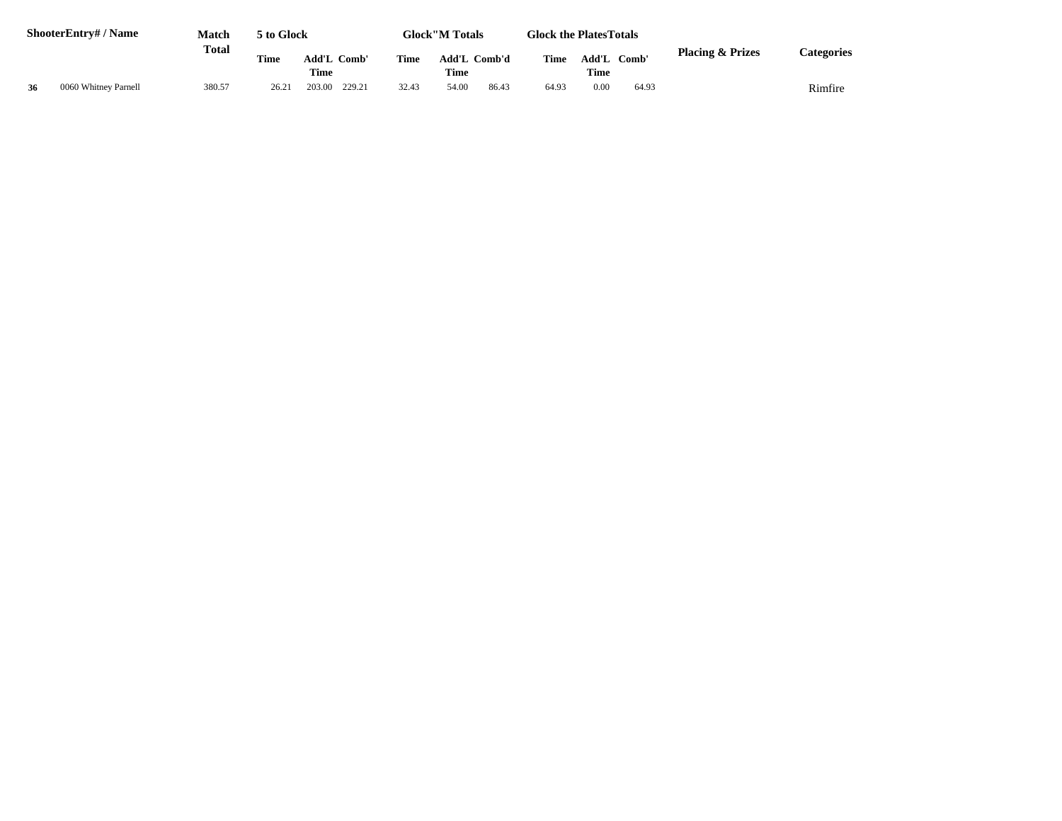|    | ShooterEntry# / Name | <b>Match</b> | 5 to Glock  |                     |       | <b>Glock</b> "M Totals      | <b>Glock the PlatesTotals</b> |                      |       |                             |            |
|----|----------------------|--------------|-------------|---------------------|-------|-----------------------------|-------------------------------|----------------------|-------|-----------------------------|------------|
|    | <b>Total</b>         |              | <b>Time</b> | Add'L Comb'<br>Time | Time  | Add'L Comb'd<br><b>Time</b> | <b>Time</b>                   | Add'L<br><b>Time</b> | Comb' | <b>Placing &amp; Prizes</b> | Categories |
| 36 | 0060 Whitney Parnell | 380.57       | 26.21       | 203.00<br>229.21    | 32.43 | 86.43<br>54.00              | 64.93                         | 0.00                 | 64.93 |                             | Rimfire    |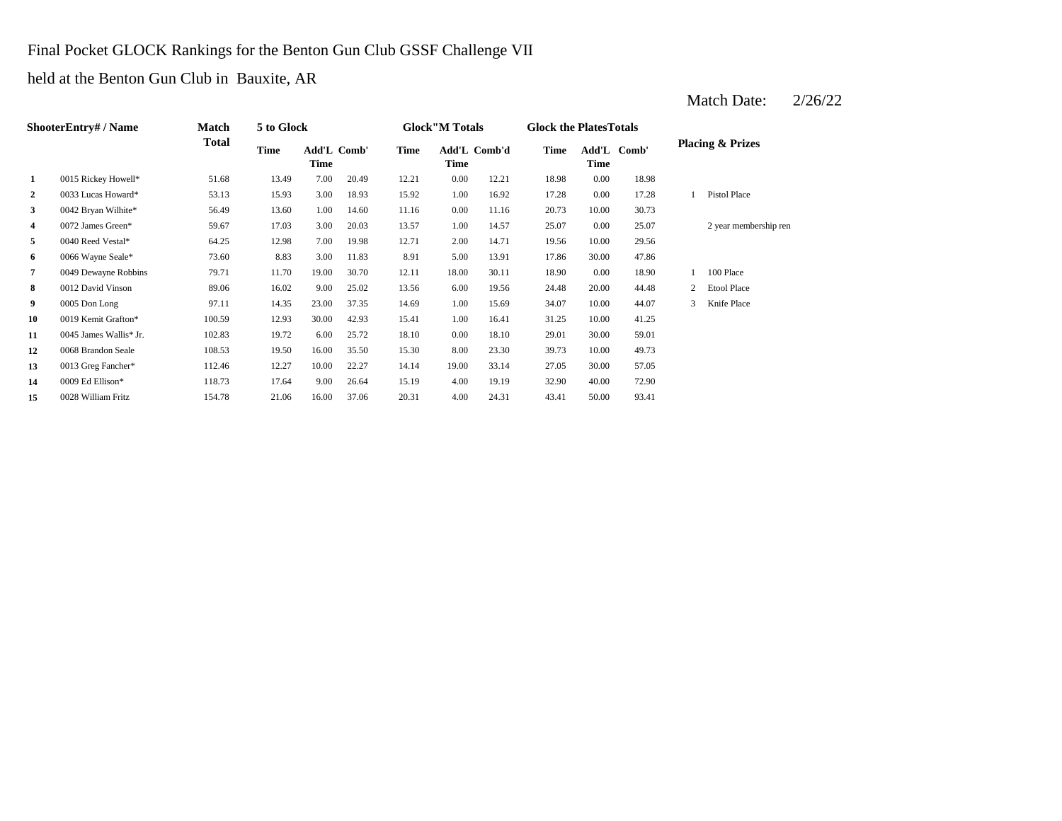## Final Pocket GLOCK Rankings for the Benton Gun Club GSSF Challenge VII

held at the Benton Gun Club in Bauxite, AR

## Match Date: 2/26/22

|                | ShooterEntry# / Name   | <b>Match</b> | 5 to Glock |                            |       |             | <b>Glock</b> "M Totals |              | <b>Glock the Plates Totals</b> |          |             |   |                             |
|----------------|------------------------|--------------|------------|----------------------------|-------|-------------|------------------------|--------------|--------------------------------|----------|-------------|---|-----------------------------|
|                |                        | <b>Total</b> | Time       | Add'L Comb'<br><b>Time</b> |       | <b>Time</b> | Time                   | Add'L Comb'd | Time                           | Time     | Add'L Comb' |   | <b>Placing &amp; Prizes</b> |
| 1              | 0015 Rickey Howell*    | 51.68        | 13.49      | 7.00                       | 20.49 | 12.21       | 0.00                   | 12.21        | 18.98                          | $0.00\,$ | 18.98       |   |                             |
| $\mathbf{2}$   | 0033 Lucas Howard*     | 53.13        | 15.93      | 3.00                       | 18.93 | 15.92       | 1.00                   | 16.92        | 17.28                          | $0.00\,$ | 17.28       |   | Pistol Place                |
| $\mathbf{3}$   | 0042 Bryan Wilhite*    | 56.49        | 13.60      | 1.00                       | 14.60 | 11.16       | 0.00                   | 11.16        | 20.73                          | 10.00    | 30.73       |   |                             |
| 4              | 0072 James Green*      | 59.67        | 17.03      | 3.00                       | 20.03 | 13.57       | 1.00                   | 14.57        | 25.07                          | $0.00\,$ | 25.07       |   | 2 year membership ren       |
| 5              | 0040 Reed Vestal*      | 64.25        | 12.98      | 7.00                       | 19.98 | 12.71       | 2.00                   | 14.71        | 19.56                          | 10.00    | 29.56       |   |                             |
| 6              | 0066 Wayne Seale*      | 73.60        | 8.83       | 3.00                       | 11.83 | 8.91        | 5.00                   | 13.91        | 17.86                          | 30.00    | 47.86       |   |                             |
| $\overline{7}$ | 0049 Dewayne Robbins   | 79.71        | 11.70      | 19.00                      | 30.70 | 12.11       | 18.00                  | 30.11        | 18.90                          | 0.00     | 18.90       |   | 100 Place                   |
| 8              | 0012 David Vinson      | 89.06        | 16.02      | 9.00                       | 25.02 | 13.56       | 6.00                   | 19.56        | 24.48                          | 20.00    | 44.48       | 2 | <b>Etool Place</b>          |
| 9              | 0005 Don Long          | 97.11        | 14.35      | 23.00                      | 37.35 | 14.69       | 1.00                   | 15.69        | 34.07                          | 10.00    | 44.07       |   | Knife Place                 |
| 10             | 0019 Kemit Grafton*    | 100.59       | 12.93      | 30.00                      | 42.93 | 15.41       | 1.00                   | 16.41        | 31.25                          | 10.00    | 41.25       |   |                             |
| 11             | 0045 James Wallis* Jr. | 102.83       | 19.72      | 6.00                       | 25.72 | 18.10       | 0.00                   | 18.10        | 29.01                          | 30.00    | 59.01       |   |                             |
| 12             | 0068 Brandon Seale     | 108.53       | 19.50      | 16.00                      | 35.50 | 15.30       | 8.00                   | 23.30        | 39.73                          | 10.00    | 49.73       |   |                             |
| 13             | 0013 Greg Fancher*     | 112.46       | 12.27      | 10.00                      | 22.27 | 14.14       | 19.00                  | 33.14        | 27.05                          | 30.00    | 57.05       |   |                             |
| 14             | 0009 Ed Ellison*       | 118.73       | 17.64      | 9.00                       | 26.64 | 15.19       | 4.00                   | 19.19        | 32.90                          | 40.00    | 72.90       |   |                             |
| 15             | 0028 William Fritz     | 154.78       | 21.06      | 16.00                      | 37.06 | 20.31       | 4.00                   | 24.31        | 43.41                          | 50.00    | 93.41       |   |                             |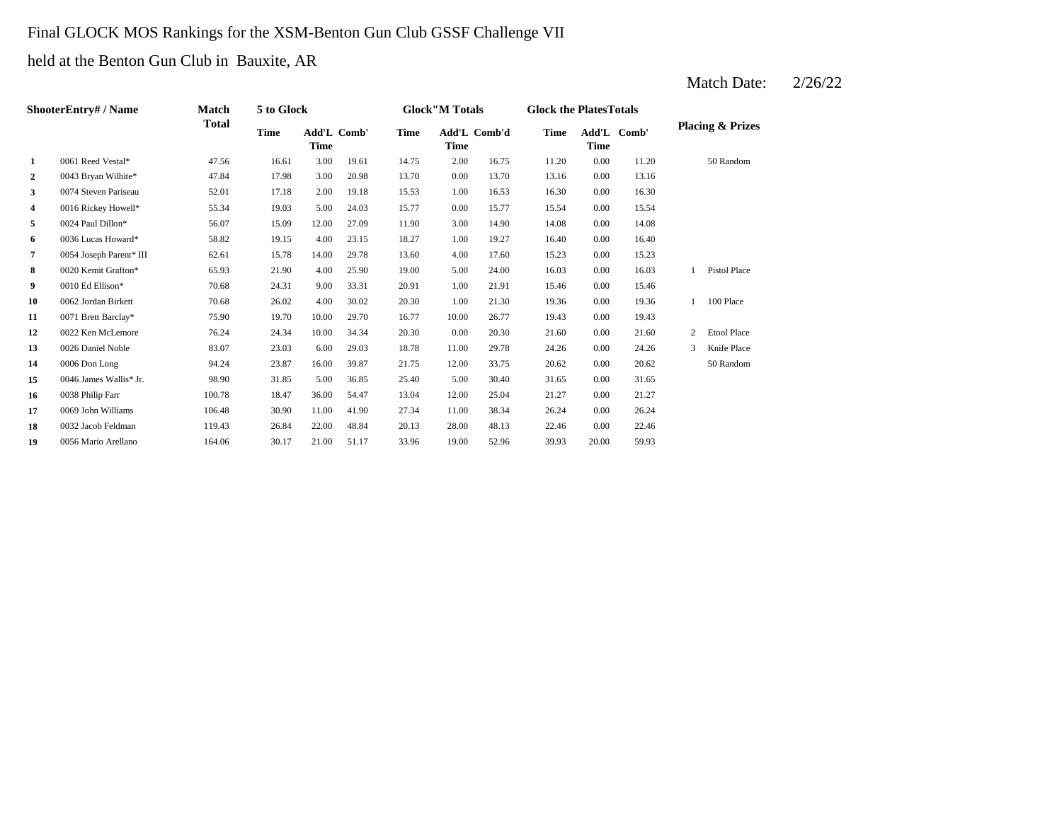## Final GLOCK MOS Rankings for the XSM-Benton Gun Club GSSF Challenge VII

## held at the Benton Gun Club in Bauxite, AR

# Match Date:  $2/26/22$

| ShooterEntry# / Name | <b>Match</b>            | 5 to Glock   |             |                            |       | <b>Glock</b> "M Totals |             | <b>Glock the PlatesTotals</b> |             |             |             |                |                             |
|----------------------|-------------------------|--------------|-------------|----------------------------|-------|------------------------|-------------|-------------------------------|-------------|-------------|-------------|----------------|-----------------------------|
|                      |                         | <b>Total</b> | <b>Time</b> | Add'L Comb'<br><b>Time</b> |       | <b>Time</b>            | <b>Time</b> | Add'L Comb'd                  | <b>Time</b> | <b>Time</b> | Add'L Comb' |                | <b>Placing &amp; Prizes</b> |
| $\mathbf{1}$         | 0061 Reed Vestal*       | 47.56        | 16.61       | 3.00                       | 19.61 | 14.75                  | 2.00        | 16.75                         | 11.20       | 0.00        | 11.20       |                | 50 Random                   |
| $\mathbf{2}$         | 0043 Bryan Wilhite*     | 47.84        | 17.98       | 3.00                       | 20.98 | 13.70                  | 0.00        | 13.70                         | 13.16       | 0.00        | 13.16       |                |                             |
| 3                    | 0074 Steven Pariseau    | 52.01        | 17.18       | 2.00                       | 19.18 | 15.53                  | 1.00        | 16.53                         | 16.30       | 0.00        | 16.30       |                |                             |
| 4                    | 0016 Rickey Howell*     | 55.34        | 19.03       | 5.00                       | 24.03 | 15.77                  | 0.00        | 15.77                         | 15.54       | 0.00        | 15.54       |                |                             |
| 5                    | 0024 Paul Dillon*       | 56.07        | 15.09       | 12.00                      | 27.09 | 11.90                  | 3.00        | 14.90                         | 14.08       | 0.00        | 14.08       |                |                             |
| 6                    | 0036 Lucas Howard*      | 58.82        | 19.15       | 4.00                       | 23.15 | 18.27                  | 1.00        | 19.27                         | 16.40       | 0.00        | 16.40       |                |                             |
| 7                    | 0054 Joseph Parent* III | 62.61        | 15.78       | 14.00                      | 29.78 | 13.60                  | 4.00        | 17.60                         | 15.23       | 0.00        | 15.23       |                |                             |
| 8                    | 0020 Kemit Grafton*     | 65.93        | 21.90       | 4.00                       | 25.90 | 19.00                  | 5.00        | 24.00                         | 16.03       | 0.00        | 16.03       |                | <b>Pistol Place</b>         |
| 9                    | 0010 Ed Ellison*        | 70.68        | 24.31       | 9.00                       | 33.31 | 20.91                  | 1.00        | 21.91                         | 15.46       | 0.00        | 15.46       |                |                             |
| 10                   | 0062 Jordan Birkett     | 70.68        | 26.02       | 4.00                       | 30.02 | 20.30                  | 1.00        | 21.30                         | 19.36       | 0.00        | 19.36       |                | 100 Place                   |
| 11                   | 0071 Brett Barclay*     | 75.90        | 19.70       | 10.00                      | 29.70 | 16.77                  | 10.00       | 26.77                         | 19.43       | 0.00        | 19.43       |                |                             |
| 12                   | 0022 Ken McLemore       | 76.24        | 24.34       | 10.00                      | 34.34 | 20.30                  | 0.00        | 20.30                         | 21.60       | 0.00        | 21.60       | $\overline{2}$ | <b>Etool Place</b>          |
| 13                   | 0026 Daniel Noble       | 83.07        | 23.03       | 6.00                       | 29.03 | 18.78                  | 11.00       | 29.78                         | 24.26       | 0.00        | 24.26       | 3              | Knife Place                 |
| 14                   | 0006 Don Long           | 94.24        | 23.87       | 16.00                      | 39.87 | 21.75                  | 12.00       | 33.75                         | 20.62       | 0.00        | 20.62       |                | 50 Random                   |
| 15                   | 0046 James Wallis* Jr.  | 98.90        | 31.85       | 5.00                       | 36.85 | 25.40                  | 5.00        | 30.40                         | 31.65       | 0.00        | 31.65       |                |                             |
| 16                   | 0038 Philip Farr        | 100.78       | 18.47       | 36.00                      | 54.47 | 13.04                  | 12.00       | 25.04                         | 21.27       | 0.00        | 21.27       |                |                             |
| 17                   | 0069 John Williams      | 106.48       | 30.90       | 11.00                      | 41.90 | 27.34                  | 11.00       | 38.34                         | 26.24       | 0.00        | 26.24       |                |                             |
| 18                   | 0032 Jacob Feldman      | 119.43       | 26.84       | 22.00                      | 48.84 | 20.13                  | 28.00       | 48.13                         | 22.46       | 0.00        | 22.46       |                |                             |
| 19                   | 0056 Mario Arellano     | 164.06       | 30.17       | 21.00                      | 51.17 | 33.96                  | 19.00       | 52.96                         | 39.93       | 20.00       | 59.93       |                |                             |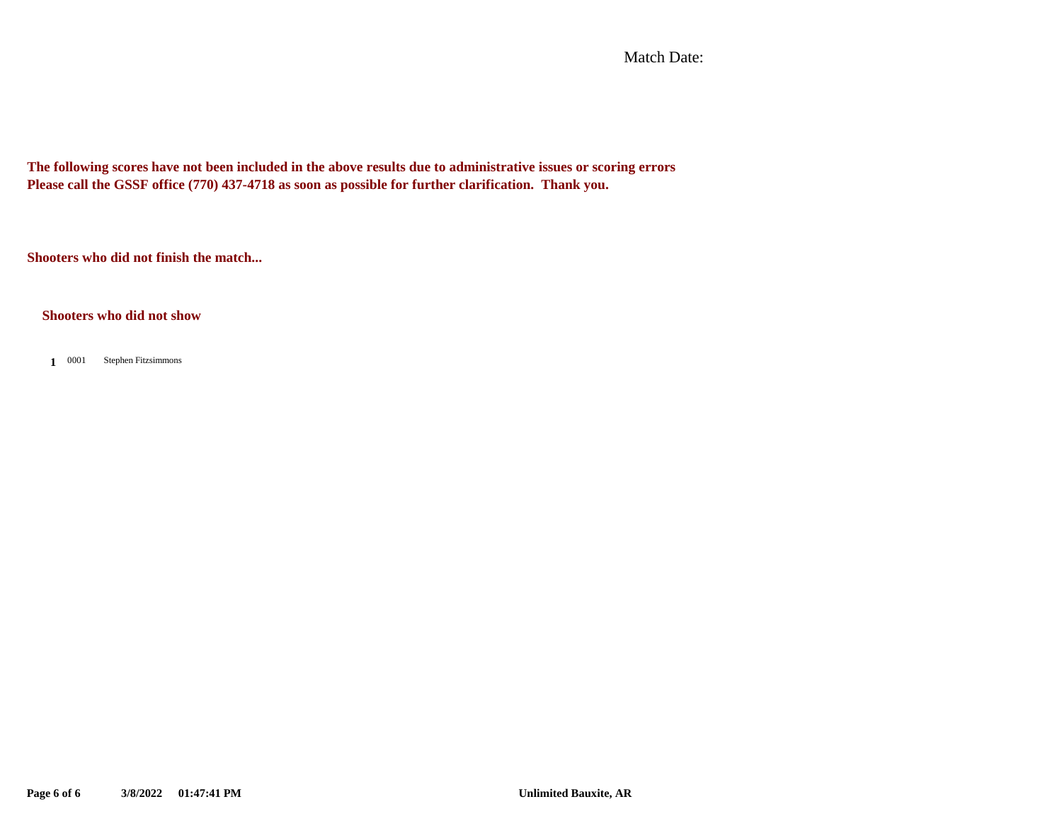Match Date:

**The following scores have not been included in the above results due to administrative issues or scoring errors Please call the GSSF office (770) 437-4718 as soon as possible for further clarification. Thank you.**

**Shooters who did not finish the match...**

#### **Shooters who did not show**

1 0001 Stephen Fitzsimmons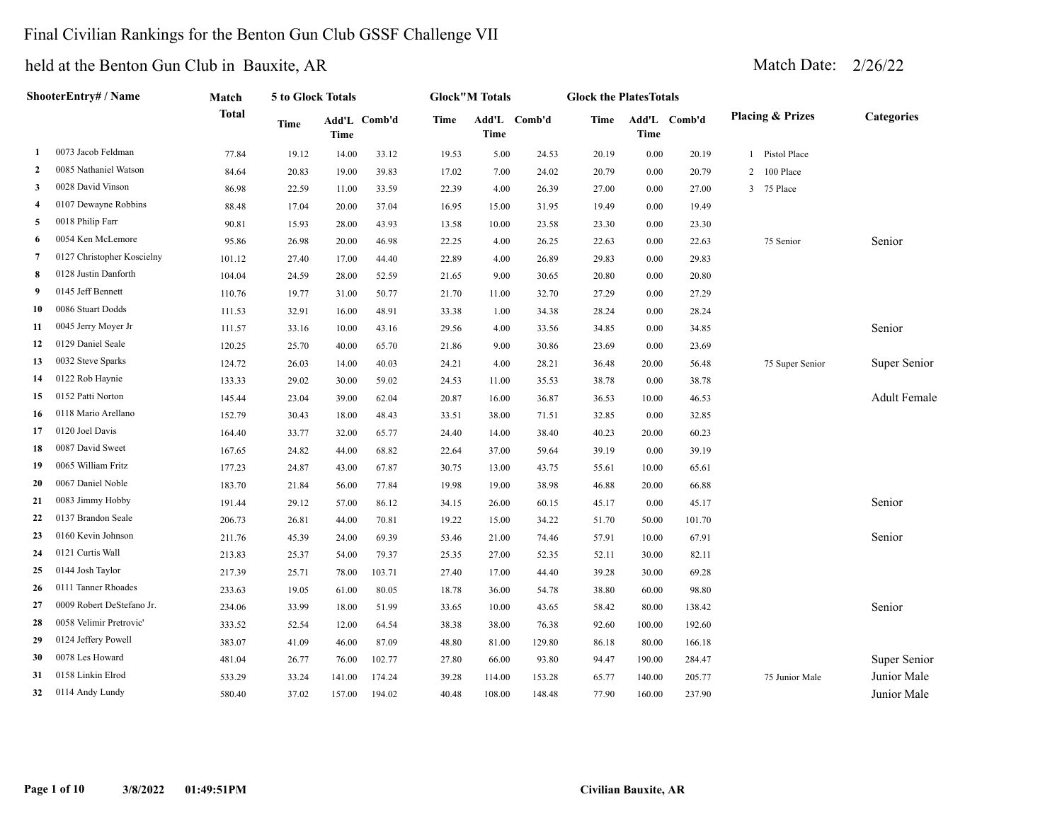#### Final Civilian Rankings for the Benton Gun Club GSSF Challenge VII

|                | ShooterEntry# / Name       | Match  | 5 to Glock Totals |             |              |       | <b>Glock</b> "M Totals |        | <b>Glock the PlatesTotals</b> |             |              |                             |                     |
|----------------|----------------------------|--------|-------------------|-------------|--------------|-------|------------------------|--------|-------------------------------|-------------|--------------|-----------------------------|---------------------|
|                |                            | Total  | Time              | <b>Time</b> | Add'L Comb'd | Time  | Add'L Comb'd<br>Time   |        | Time                          | <b>Time</b> | Add'L Comb'd | <b>Placing &amp; Prizes</b> | <b>Categories</b>   |
| 1              | 0073 Jacob Feldman         | 77.84  | 19.12             | 14.00       | 33.12        | 19.53 | 5.00                   | 24.53  | 20.19                         | 0.00        | 20.19        | Pistol Place<br>1           |                     |
| $\overline{2}$ | 0085 Nathaniel Watson      | 84.64  | 20.83             | 19.00       | 39.83        | 17.02 | 7.00                   | 24.02  | 20.79                         | 0.00        | 20.79        | 100 Place<br>$\overline{c}$ |                     |
| 3              | 0028 David Vinson          | 86.98  | 22.59             | 11.00       | 33.59        | 22.39 | 4.00                   | 26.39  | 27.00                         | 0.00        | 27.00        | 3<br>75 Place               |                     |
| 4              | 0107 Dewayne Robbins       | 88.48  | 17.04             | 20.00       | 37.04        | 16.95 | 15.00                  | 31.95  | 19.49                         | 0.00        | 19.49        |                             |                     |
| 5              | 0018 Philip Farr           | 90.81  | 15.93             | 28.00       | 43.93        | 13.58 | 10.00                  | 23.58  | 23.30                         | 0.00        | 23.30        |                             |                     |
| 6              | 0054 Ken McLemore          | 95.86  | 26.98             | 20.00       | 46.98        | 22.25 | 4.00                   | 26.25  | 22.63                         | 0.00        | 22.63        | 75 Senior                   | Senior              |
| 7              | 0127 Christopher Koscielny | 101.12 | 27.40             | 17.00       | 44.40        | 22.89 | 4.00                   | 26.89  | 29.83                         | 0.00        | 29.83        |                             |                     |
| 8              | 0128 Justin Danforth       | 104.04 | 24.59             | 28.00       | 52.59        | 21.65 | 9.00                   | 30.65  | 20.80                         | 0.00        | 20.80        |                             |                     |
| 9              | 0145 Jeff Bennett          | 110.76 | 19.77             | 31.00       | 50.77        | 21.70 | 11.00                  | 32.70  | 27.29                         | $0.00\,$    | 27.29        |                             |                     |
| 10             | 0086 Stuart Dodds          | 111.53 | 32.91             | 16.00       | 48.91        | 33.38 | 1.00                   | 34.38  | 28.24                         | 0.00        | 28.24        |                             |                     |
| 11             | 0045 Jerry Moyer Jr        | 111.57 | 33.16             | 10.00       | 43.16        | 29.56 | 4.00                   | 33.56  | 34.85                         | 0.00        | 34.85        |                             | Senior              |
| 12             | 0129 Daniel Seale          | 120.25 | 25.70             | 40.00       | 65.70        | 21.86 | 9.00                   | 30.86  | 23.69                         | 0.00        | 23.69        |                             |                     |
| 13             | 0032 Steve Sparks          | 124.72 | 26.03             | 14.00       | 40.03        | 24.21 | 4.00                   | 28.21  | 36.48                         | 20.00       | 56.48        | 75 Super Senior             | Super Senior        |
| 14             | 0122 Rob Haynie            | 133.33 | 29.02             | 30.00       | 59.02        | 24.53 | 11.00                  | 35.53  | 38.78                         | 0.00        | 38.78        |                             |                     |
| 15             | 0152 Patti Norton          | 145.44 | 23.04             | 39.00       | 62.04        | 20.87 | 16.00                  | 36.87  | 36.53                         | 10.00       | 46.53        |                             | <b>Adult Female</b> |
| 16             | 0118 Mario Arellano        | 152.79 | 30.43             | 18.00       | 48.43        | 33.51 | 38.00                  | 71.51  | 32.85                         | 0.00        | 32.85        |                             |                     |
| 17             | 0120 Joel Davis            | 164.40 | 33.77             | 32.00       | 65.77        | 24.40 | 14.00                  | 38.40  | 40.23                         | 20.00       | 60.23        |                             |                     |
| 18             | 0087 David Sweet           | 167.65 | 24.82             | 44.00       | 68.82        | 22.64 | 37.00                  | 59.64  | 39.19                         | 0.00        | 39.19        |                             |                     |
| 19             | 0065 William Fritz         | 177.23 | 24.87             | 43.00       | 67.87        | 30.75 | 13.00                  | 43.75  | 55.61                         | 10.00       | 65.61        |                             |                     |
| 20             | 0067 Daniel Noble          | 183.70 | 21.84             | 56.00       | 77.84        | 19.98 | 19.00                  | 38.98  | 46.88                         | 20.00       | 66.88        |                             |                     |
| 21             | 0083 Jimmy Hobby           | 191.44 | 29.12             | 57.00       | 86.12        | 34.15 | 26.00                  | 60.15  | 45.17                         | 0.00        | 45.17        |                             | Senior              |
| 22             | 0137 Brandon Seale         | 206.73 | 26.81             | 44.00       | 70.81        | 19.22 | 15.00                  | 34.22  | 51.70                         | 50.00       | 101.70       |                             |                     |
| 23             | 0160 Kevin Johnson         | 211.76 | 45.39             | 24.00       | 69.39        | 53.46 | 21.00                  | 74.46  | 57.91                         | 10.00       | 67.91        |                             | Senior              |
| 24             | 0121 Curtis Wall           | 213.83 | 25.37             | 54.00       | 79.37        | 25.35 | 27.00                  | 52.35  | 52.11                         | 30.00       | 82.11        |                             |                     |
| 25             | 0144 Josh Taylor           | 217.39 | 25.71             | 78.00       | 103.71       | 27.40 | 17.00                  | 44.40  | 39.28                         | 30.00       | 69.28        |                             |                     |
| 26             | 0111 Tanner Rhoades        | 233.63 | 19.05             | 61.00       | 80.05        | 18.78 | 36.00                  | 54.78  | 38.80                         | 60.00       | 98.80        |                             |                     |
| 27             | 0009 Robert DeStefano Jr.  | 234.06 | 33.99             | 18.00       | 51.99        | 33.65 | 10.00                  | 43.65  | 58.42                         | 80.00       | 138.42       |                             | Senior              |
| 28             | 0058 Velimir Pretrovic'    | 333.52 | 52.54             | 12.00       | 64.54        | 38.38 | 38.00                  | 76.38  | 92.60                         | 100.00      | 192.60       |                             |                     |
| 29             | 0124 Jeffery Powell        | 383.07 | 41.09             | 46.00       | 87.09        | 48.80 | 81.00                  | 129.80 | 86.18                         | 80.00       | 166.18       |                             |                     |
| 30             | 0078 Les Howard            | 481.04 | 26.77             | 76.00       | 102.77       | 27.80 | 66.00                  | 93.80  | 94.47                         | 190.00      | 284.47       |                             | Super Senior        |
| 31             | 0158 Linkin Elrod          | 533.29 | 33.24             | 141.00      | 174.24       | 39.28 | 114.00                 | 153.28 | 65.77                         | 140.00      | 205.77       | 75 Junior Male              | Junior Male         |
| 32             | 0114 Andy Lundy            | 580.40 | 37.02             | 157.00      | 194.02       | 40.48 | 108.00                 | 148.48 | 77.90                         | 160.00      | 237.90       |                             | Junior Male         |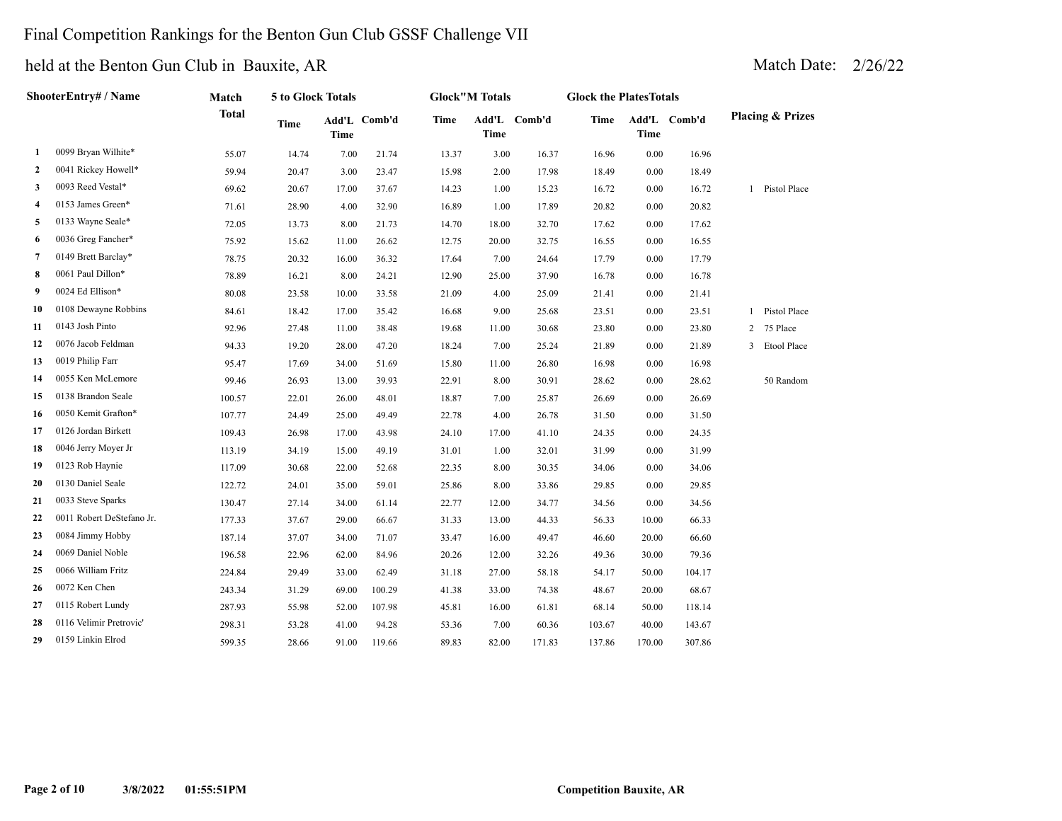### Final Competition Rankings for the Benton Gun Club GSSF Challenge VII

|              | ShooterEntry# / Name      | Match        | 5 to Glock Totals |             |              |             | <b>Glock"M Totals</b> |              | <b>Glock the PlatesTotals</b> |             |              |   |                             |
|--------------|---------------------------|--------------|-------------------|-------------|--------------|-------------|-----------------------|--------------|-------------------------------|-------------|--------------|---|-----------------------------|
|              |                           | <b>Total</b> | <b>Time</b>       | <b>Time</b> | Add'L Comb'd | <b>Time</b> | Time                  | Add'L Comb'd | Time                          | <b>Time</b> | Add'L Comb'd |   | <b>Placing &amp; Prizes</b> |
| 1            | 0099 Bryan Wilhite*       | 55.07        | 14.74             | 7.00        | 21.74        | 13.37       | 3.00                  | 16.37        | 16.96                         | 0.00        | 16.96        |   |                             |
| $\mathbf{2}$ | 0041 Rickey Howell*       | 59.94        | 20.47             | 3.00        | 23.47        | 15.98       | 2.00                  | 17.98        | 18.49                         | 0.00        | 18.49        |   |                             |
| 3            | 0093 Reed Vestal*         | 69.62        | 20.67             | 17.00       | 37.67        | 14.23       | 1.00                  | 15.23        | 16.72                         | 0.00        | 16.72        |   | 1 Pistol Place              |
| 4            | 0153 James Green*         | 71.61        | 28.90             | 4.00        | 32.90        | 16.89       | 1.00                  | 17.89        | 20.82                         | 0.00        | 20.82        |   |                             |
| 5            | 0133 Wayne Seale*         | 72.05        | 13.73             | 8.00        | 21.73        | 14.70       | 18.00                 | 32.70        | 17.62                         | 0.00        | 17.62        |   |                             |
| 6            | 0036 Greg Fancher*        | 75.92        | 15.62             | 11.00       | 26.62        | 12.75       | 20.00                 | 32.75        | 16.55                         | 0.00        | 16.55        |   |                             |
| 7            | 0149 Brett Barclay*       | 78.75        | 20.32             | 16.00       | 36.32        | 17.64       | 7.00                  | 24.64        | 17.79                         | 0.00        | 17.79        |   |                             |
| 8            | 0061 Paul Dillon*         | 78.89        | 16.21             | 8.00        | 24.21        | 12.90       | 25.00                 | 37.90        | 16.78                         | 0.00        | 16.78        |   |                             |
| 9            | 0024 Ed Ellison*          | 80.08        | 23.58             | 10.00       | 33.58        | 21.09       | 4.00                  | 25.09        | 21.41                         | 0.00        | 21.41        |   |                             |
| 10           | 0108 Dewayne Robbins      | 84.61        | 18.42             | 17.00       | 35.42        | 16.68       | 9.00                  | 25.68        | 23.51                         | 0.00        | 23.51        |   | 1 Pistol Place              |
| 11           | 0143 Josh Pinto           | 92.96        | 27.48             | 11.00       | 38.48        | 19.68       | 11.00                 | 30.68        | 23.80                         | 0.00        | 23.80        | 2 | 75 Place                    |
| 12           | 0076 Jacob Feldman        | 94.33        | 19.20             | 28.00       | 47.20        | 18.24       | 7.00                  | 25.24        | 21.89                         | 0.00        | 21.89        |   | 3 Etool Place               |
| 13           | 0019 Philip Farr          | 95.47        | 17.69             | 34.00       | 51.69        | 15.80       | 11.00                 | 26.80        | 16.98                         | 0.00        | 16.98        |   |                             |
| 14           | 0055 Ken McLemore         | 99.46        | 26.93             | 13.00       | 39.93        | 22.91       | 8.00                  | 30.91        | 28.62                         | 0.00        | 28.62        |   | 50 Random                   |
| 15           | 0138 Brandon Seale        | 100.57       | 22.01             | 26.00       | 48.01        | 18.87       | 7.00                  | 25.87        | 26.69                         | 0.00        | 26.69        |   |                             |
| 16           | 0050 Kemit Grafton*       | 107.77       | 24.49             | 25.00       | 49.49        | 22.78       | 4.00                  | 26.78        | 31.50                         | 0.00        | 31.50        |   |                             |
| 17           | 0126 Jordan Birkett       | 109.43       | 26.98             | 17.00       | 43.98        | 24.10       | 17.00                 | 41.10        | 24.35                         | 0.00        | 24.35        |   |                             |
| 18           | 0046 Jerry Moyer Jr       | 113.19       | 34.19             | 15.00       | 49.19        | 31.01       | 1.00                  | 32.01        | 31.99                         | 0.00        | 31.99        |   |                             |
| 19           | 0123 Rob Haynie           | 117.09       | 30.68             | 22.00       | 52.68        | 22.35       | 8.00                  | 30.35        | 34.06                         | 0.00        | 34.06        |   |                             |
| 20           | 0130 Daniel Seale         | 122.72       | 24.01             | 35.00       | 59.01        | 25.86       | 8.00                  | 33.86        | 29.85                         | 0.00        | 29.85        |   |                             |
| 21           | 0033 Steve Sparks         | 130.47       | 27.14             | 34.00       | 61.14        | 22.77       | 12.00                 | 34.77        | 34.56                         | 0.00        | 34.56        |   |                             |
| 22           | 0011 Robert DeStefano Jr. | 177.33       | 37.67             | 29.00       | 66.67        | 31.33       | 13.00                 | 44.33        | 56.33                         | 10.00       | 66.33        |   |                             |
| 23           | 0084 Jimmy Hobby          | 187.14       | 37.07             | 34.00       | 71.07        | 33.47       | 16.00                 | 49.47        | 46.60                         | 20.00       | 66.60        |   |                             |
| 24           | 0069 Daniel Noble         | 196.58       | 22.96             | 62.00       | 84.96        | 20.26       | 12.00                 | 32.26        | 49.36                         | 30.00       | 79.36        |   |                             |
| 25           | 0066 William Fritz        | 224.84       | 29.49             | 33.00       | 62.49        | 31.18       | 27.00                 | 58.18        | 54.17                         | 50.00       | 104.17       |   |                             |
| 26           | 0072 Ken Chen             | 243.34       | 31.29             | 69.00       | 100.29       | 41.38       | 33.00                 | 74.38        | 48.67                         | 20.00       | 68.67        |   |                             |
| 27           | 0115 Robert Lundy         | 287.93       | 55.98             | 52.00       | 107.98       | 45.81       | 16.00                 | 61.81        | 68.14                         | 50.00       | 118.14       |   |                             |
| 28           | 0116 Velimir Pretrovic'   | 298.31       | 53.28             | 41.00       | 94.28        | 53.36       | 7.00                  | 60.36        | 103.67                        | 40.00       | 143.67       |   |                             |
| 29           | 0159 Linkin Elrod         | 599.35       | 28.66             | 91.00       | 119.66       | 89.83       | 82.00                 | 171.83       | 137.86                        | 170.00      | 307.86       |   |                             |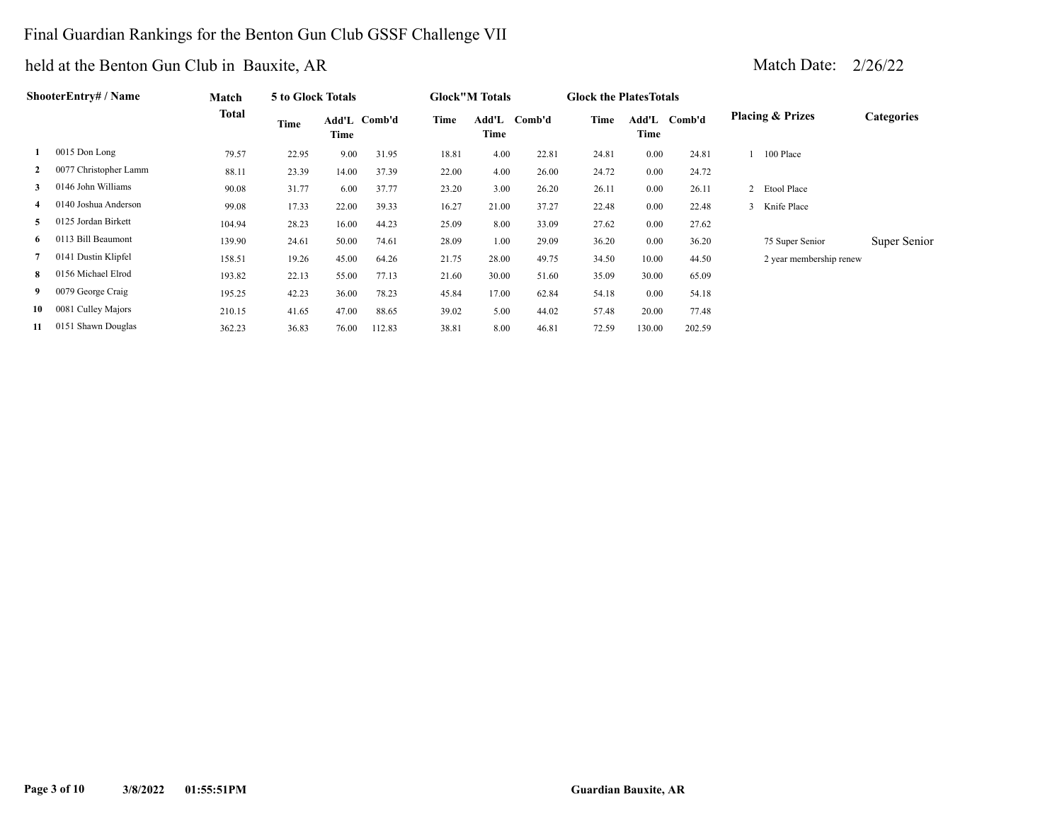### Final Guardian Rankings for the Benton Gun Club GSSF Challenge VII

| ShooterEntry# / Name | Match                 | 5 to Glock Totals |       |               |        | <b>Glock</b> "M Totals |               | <b>Glock the Plates Totals</b> |       |               |        |                             |                   |
|----------------------|-----------------------|-------------------|-------|---------------|--------|------------------------|---------------|--------------------------------|-------|---------------|--------|-----------------------------|-------------------|
|                      |                       | Total             | Time  | Add'L<br>Time | Comb'd | Time                   | Add'L<br>Time | Comb'd                         | Time  | Add'L<br>Time | Comb'd | <b>Placing &amp; Prizes</b> | <b>Categories</b> |
|                      | 0015 Don Long         | 79.57             | 22.95 | 9.00          | 31.95  | 18.81                  | 4.00          | 22.81                          | 24.81 | 0.00          | 24.81  | 100 Place                   |                   |
| $\mathbf{2}$         | 0077 Christopher Lamm | 88.11             | 23.39 | 14.00         | 37.39  | 22.00                  | 4.00          | 26.00                          | 24.72 | 0.00          | 24.72  |                             |                   |
| 3                    | 0146 John Williams    | 90.08             | 31.77 | 6.00          | 37.77  | 23.20                  | 3.00          | 26.20                          | 26.11 | 0.00          | 26.11  | 2 Etool Place               |                   |
| 4                    | 0140 Joshua Anderson  | 99.08             | 17.33 | 22.00         | 39.33  | 16.27                  | 21.00         | 37.27                          | 22.48 | 0.00          | 22.48  | 3 Knife Place               |                   |
| 5                    | 0125 Jordan Birkett   | 104.94            | 28.23 | 16.00         | 44.23  | 25.09                  | 8.00          | 33.09                          | 27.62 | 0.00          | 27.62  |                             |                   |
| 6                    | 0113 Bill Beaumont    | 139.90            | 24.61 | 50.00         | 74.61  | 28.09                  | 1.00          | 29.09                          | 36.20 | 0.00          | 36.20  | 75 Super Senior             | Super Senior      |
| 7                    | 0141 Dustin Klipfel   | 158.51            | 19.26 | 45.00         | 64.26  | 21.75                  | 28.00         | 49.75                          | 34.50 | 10.00         | 44.50  | 2 year membership renew     |                   |
| 8                    | 0156 Michael Elrod    | 193.82            | 22.13 | 55.00         | 77.13  | 21.60                  | 30.00         | 51.60                          | 35.09 | 30.00         | 65.09  |                             |                   |
| 9                    | 0079 George Craig     | 195.25            | 42.23 | 36.00         | 78.23  | 45.84                  | 17.00         | 62.84                          | 54.18 | 0.00          | 54.18  |                             |                   |
| 10                   | 0081 Culley Majors    | 210.15            | 41.65 | 47.00         | 88.65  | 39.02                  | 5.00          | 44.02                          | 57.48 | 20.00         | 77.48  |                             |                   |
| 11                   | 0151 Shawn Douglas    | 362.23            | 36.83 | 76.00         | 112.83 | 38.81                  | 8.00          | 46.81                          | 72.59 | 130.00        | 202.59 |                             |                   |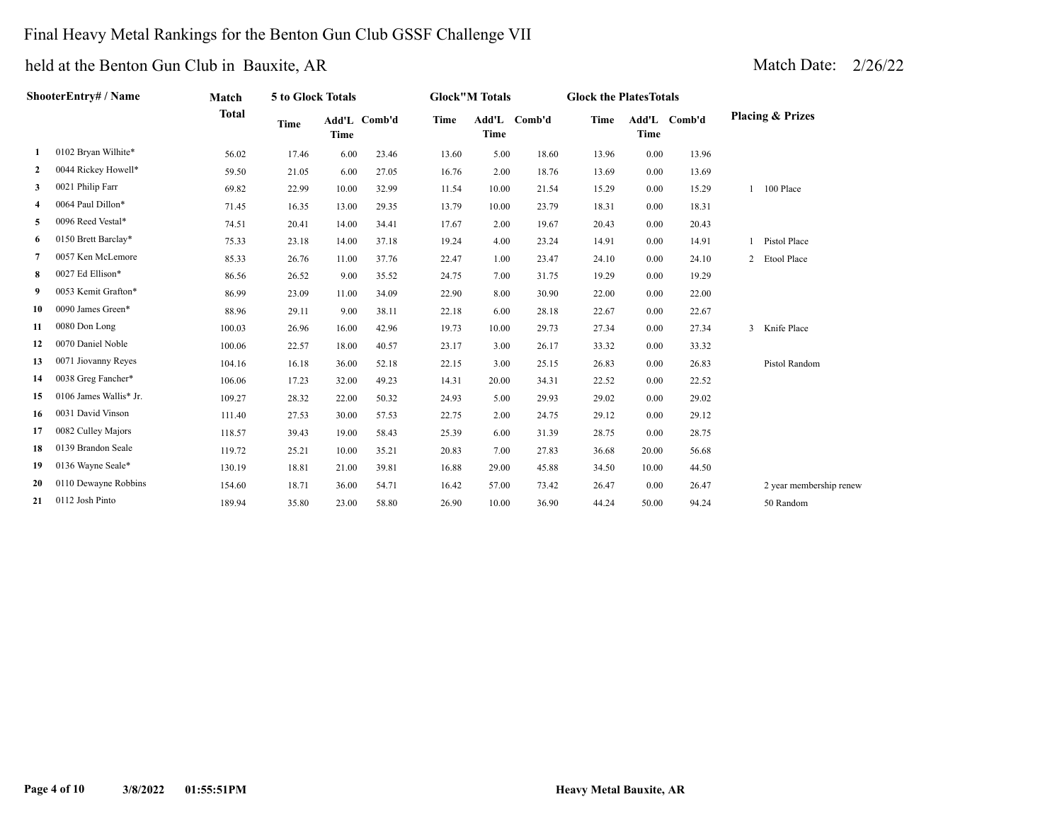#### Final Heavy Metal Rankings for the Benton Gun Club GSSF Challenge VII

|    | ShooterEntry# / Name   | Match        | 5 to Glock Totals |             |              |             | <b>Glock</b> "M Totals |              | <b>Glock the PlatesTotals</b> |       |              |                             |
|----|------------------------|--------------|-------------------|-------------|--------------|-------------|------------------------|--------------|-------------------------------|-------|--------------|-----------------------------|
|    |                        | <b>Total</b> | <b>Time</b>       | <b>Time</b> | Add'L Comb'd | <b>Time</b> | <b>Time</b>            | Add'L Comb'd | <b>Time</b>                   | Time  | Add'L Comb'd | <b>Placing &amp; Prizes</b> |
| 1  | 0102 Bryan Wilhite*    | 56.02        | 17.46             | 6.00        | 23.46        | 13.60       | 5.00                   | 18.60        | 13.96                         | 0.00  | 13.96        |                             |
| 2  | 0044 Rickey Howell*    | 59.50        | 21.05             | 6.00        | 27.05        | 16.76       | 2.00                   | 18.76        | 13.69                         | 0.00  | 13.69        |                             |
| 3  | 0021 Philip Farr       | 69.82        | 22.99             | 10.00       | 32.99        | 11.54       | 10.00                  | 21.54        | 15.29                         | 0.00  | 15.29        | 100 Place                   |
| 4  | 0064 Paul Dillon*      | 71.45        | 16.35             | 13.00       | 29.35        | 13.79       | 10.00                  | 23.79        | 18.31                         | 0.00  | 18.31        |                             |
| 5  | 0096 Reed Vestal*      | 74.51        | 20.41             | 14.00       | 34.41        | 17.67       | 2.00                   | 19.67        | 20.43                         | 0.00  | 20.43        |                             |
| 6  | 0150 Brett Barclay*    | 75.33        | 23.18             | 14.00       | 37.18        | 19.24       | 4.00                   | 23.24        | 14.91                         | 0.00  | 14.91        | Pistol Place                |
| 7  | 0057 Ken McLemore      | 85.33        | 26.76             | 11.00       | 37.76        | 22.47       | 1.00                   | 23.47        | 24.10                         | 0.00  | 24.10        | 2 Etool Place               |
| 8  | 0027 Ed Ellison*       | 86.56        | 26.52             | 9.00        | 35.52        | 24.75       | 7.00                   | 31.75        | 19.29                         | 0.00  | 19.29        |                             |
| 9  | 0053 Kemit Grafton*    | 86.99        | 23.09             | 11.00       | 34.09        | 22.90       | 8.00                   | 30.90        | 22.00                         | 0.00  | 22.00        |                             |
| 10 | 0090 James Green*      | 88.96        | 29.11             | 9.00        | 38.11        | 22.18       | 6.00                   | 28.18        | 22.67                         | 0.00  | 22.67        |                             |
| 11 | 0080 Don Long          | 100.03       | 26.96             | 16.00       | 42.96        | 19.73       | 10.00                  | 29.73        | 27.34                         | 0.00  | 27.34        | 3 Knife Place               |
| 12 | 0070 Daniel Noble      | 100.06       | 22.57             | 18.00       | 40.57        | 23.17       | 3.00                   | 26.17        | 33.32                         | 0.00  | 33.32        |                             |
| 13 | 0071 Jiovanny Reyes    | 104.16       | 16.18             | 36.00       | 52.18        | 22.15       | 3.00                   | 25.15        | 26.83                         | 0.00  | 26.83        | Pistol Random               |
| 14 | 0038 Greg Fancher*     | 106.06       | 17.23             | 32.00       | 49.23        | 14.31       | 20.00                  | 34.31        | 22.52                         | 0.00  | 22.52        |                             |
| 15 | 0106 James Wallis* Jr. | 109.27       | 28.32             | 22.00       | 50.32        | 24.93       | 5.00                   | 29.93        | 29.02                         | 0.00  | 29.02        |                             |
| 16 | 0031 David Vinson      | 111.40       | 27.53             | 30.00       | 57.53        | 22.75       | 2.00                   | 24.75        | 29.12                         | 0.00  | 29.12        |                             |
| 17 | 0082 Culley Majors     | 118.57       | 39.43             | 19.00       | 58.43        | 25.39       | 6.00                   | 31.39        | 28.75                         | 0.00  | 28.75        |                             |
| 18 | 0139 Brandon Seale     | 119.72       | 25.21             | 10.00       | 35.21        | 20.83       | 7.00                   | 27.83        | 36.68                         | 20.00 | 56.68        |                             |
| 19 | 0136 Wayne Seale*      | 130.19       | 18.81             | 21.00       | 39.81        | 16.88       | 29.00                  | 45.88        | 34.50                         | 10.00 | 44.50        |                             |
| 20 | 0110 Dewayne Robbins   | 154.60       | 18.71             | 36.00       | 54.71        | 16.42       | 57.00                  | 73.42        | 26.47                         | 0.00  | 26.47        | 2 year membership renew     |
| 21 | 0112 Josh Pinto        | 189.94       | 35.80             | 23.00       | 58.80        | 26.90       | 10.00                  | 36.90        | 44.24                         | 50.00 | 94.24        | 50 Random                   |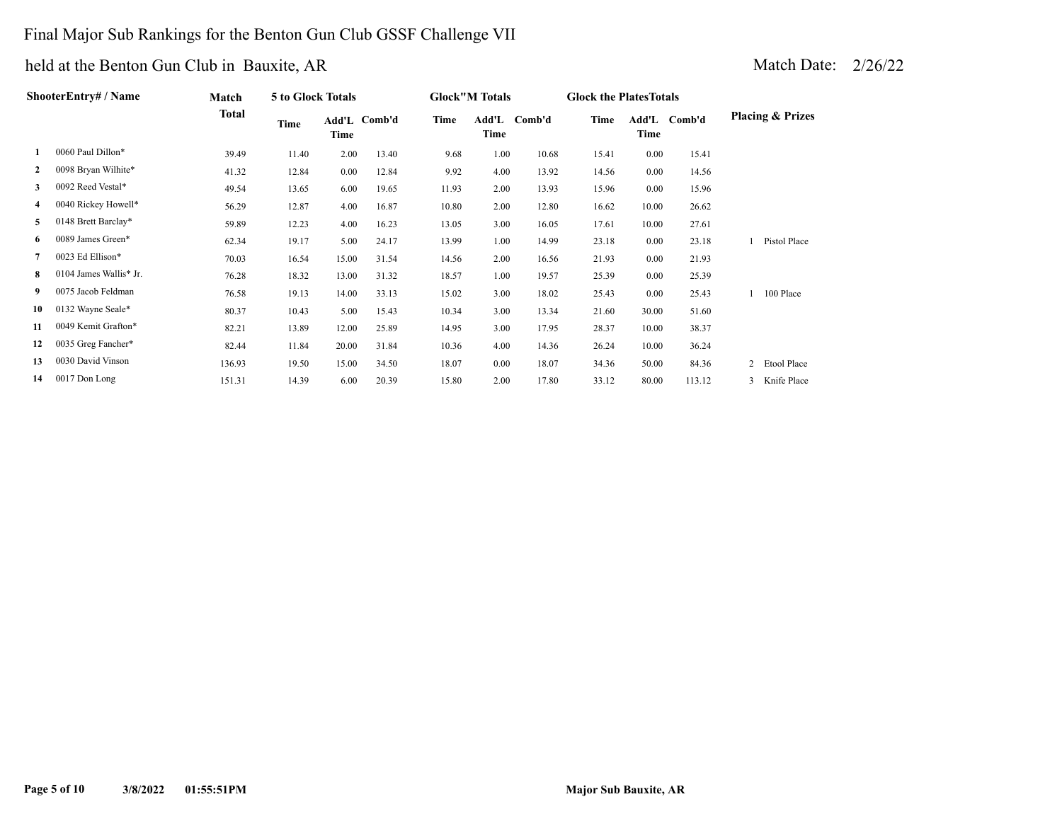### Final Major Sub Rankings for the Benton Gun Club GSSF Challenge VII

| ShooterEntry# / Name | Match                  | 5 to Glock Totals |       |       |              | <b>Glock"M Totals</b> |      | <b>Glock the Plates Totals</b> |       |       |              |                                      |
|----------------------|------------------------|-------------------|-------|-------|--------------|-----------------------|------|--------------------------------|-------|-------|--------------|--------------------------------------|
|                      |                        | <b>Total</b>      | Time  | Time  | Add'L Comb'd | Time                  | Time | Add'L Comb'd                   | Time  | Time  | Add'L Comb'd | <b>Placing &amp; Prizes</b>          |
| 1                    | 0060 Paul Dillon*      | 39.49             | 11.40 | 2.00  | 13.40        | 9.68                  | 1.00 | 10.68                          | 15.41 | 0.00  | 15.41        |                                      |
| $\mathbf{2}$         | 0098 Bryan Wilhite*    | 41.32             | 12.84 | 0.00  | 12.84        | 9.92                  | 4.00 | 13.92                          | 14.56 | 0.00  | 14.56        |                                      |
| 3                    | 0092 Reed Vestal*      | 49.54             | 13.65 | 6.00  | 19.65        | 11.93                 | 2.00 | 13.93                          | 15.96 | 0.00  | 15.96        |                                      |
| 4                    | 0040 Rickey Howell*    | 56.29             | 12.87 | 4.00  | 16.87        | 10.80                 | 2.00 | 12.80                          | 16.62 | 10.00 | 26.62        |                                      |
| 5                    | 0148 Brett Barclay*    | 59.89             | 12.23 | 4.00  | 16.23        | 13.05                 | 3.00 | 16.05                          | 17.61 | 10.00 | 27.61        |                                      |
| 6                    | 0089 James Green*      | 62.34             | 19.17 | 5.00  | 24.17        | 13.99                 | 1.00 | 14.99                          | 23.18 | 0.00  | 23.18        | Pistol Place                         |
| 7                    | 0023 Ed Ellison*       | 70.03             | 16.54 | 15.00 | 31.54        | 14.56                 | 2.00 | 16.56                          | 21.93 | 0.00  | 21.93        |                                      |
| 8.                   | 0104 James Wallis* Jr. | 76.28             | 18.32 | 13.00 | 31.32        | 18.57                 | 1.00 | 19.57                          | 25.39 | 0.00  | 25.39        |                                      |
| 9.                   | 0075 Jacob Feldman     | 76.58             | 19.13 | 14.00 | 33.13        | 15.02                 | 3.00 | 18.02                          | 25.43 | 0.00  | 25.43        | 100 Place                            |
| 10                   | 0132 Wayne Seale*      | 80.37             | 10.43 | 5.00  | 15.43        | 10.34                 | 3.00 | 13.34                          | 21.60 | 30.00 | 51.60        |                                      |
| 11                   | 0049 Kemit Grafton*    | 82.21             | 13.89 | 12.00 | 25.89        | 14.95                 | 3.00 | 17.95                          | 28.37 | 10.00 | 38.37        |                                      |
| 12                   | 0035 Greg Fancher*     | 82.44             | 11.84 | 20.00 | 31.84        | 10.36                 | 4.00 | 14.36                          | 26.24 | 10.00 | 36.24        |                                      |
| 13                   | 0030 David Vinson      | 136.93            | 19.50 | 15.00 | 34.50        | 18.07                 | 0.00 | 18.07                          | 34.36 | 50.00 | 84.36        | $\overline{2}$<br><b>Etool Place</b> |
| 14                   | 0017 Don Long          | 151.31            | 14.39 | 6.00  | 20.39        | 15.80                 | 2.00 | 17.80                          | 33.12 | 80.00 | 113.12       | Knife Place                          |
|                      |                        |                   |       |       |              |                       |      |                                |       |       |              |                                      |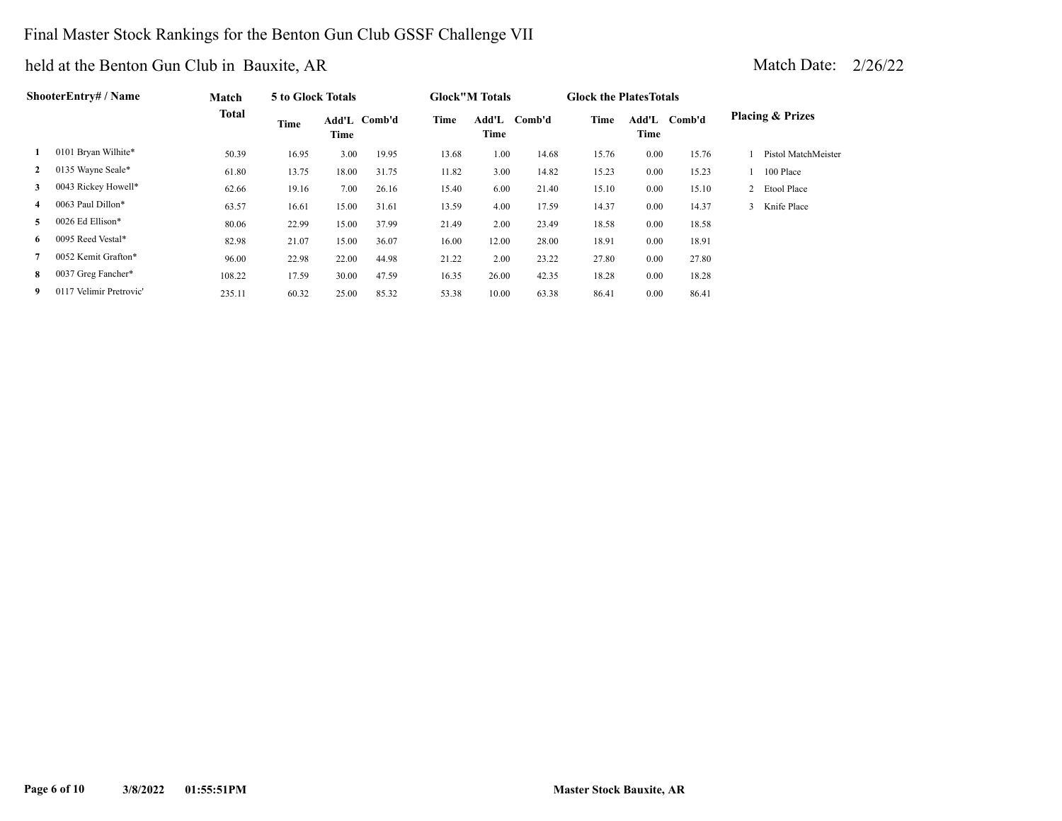### Final Master Stock Rankings for the Benton Gun Club GSSF Challenge VII

| <b>ShooterEntry# / Name</b> | Match                   | 5 to Glock Totals |       |       |              | <b>Glock</b> "M Totals |               | <b>Glock the Plates Totals</b> |       |               |        |                             |
|-----------------------------|-------------------------|-------------------|-------|-------|--------------|------------------------|---------------|--------------------------------|-------|---------------|--------|-----------------------------|
|                             |                         | <b>Total</b>      | Time  | Time  | Add'L Comb'd | Time                   | Add'L<br>Time | Comb'd                         | Time  | Add'L<br>Time | Comb'd | <b>Placing &amp; Prizes</b> |
| 1                           | 0101 Bryan Wilhite*     | 50.39             | 16.95 | 3.00  | 19.95        | 13.68                  | 1.00          | 14.68                          | 15.76 | 0.00          | 15.76  | Pistol MatchMeister         |
| $\mathbf{2}$                | 0135 Wayne Seale*       | 61.80             | 13.75 | 18.00 | 31.75        | 11.82                  | 3.00          | 14.82                          | 15.23 | 0.00          | 15.23  | 100 Place                   |
| 3                           | 0043 Rickey Howell*     | 62.66             | 19.16 | 7.00  | 26.16        | 15.40                  | 6.00          | 21.40                          | 15.10 | 0.00          | 15.10  | 2 Etool Place               |
| 4                           | 0063 Paul Dillon*       | 63.57             | 16.61 | 15.00 | 31.61        | 13.59                  | 4.00          | 17.59                          | 14.37 | 0.00          | 14.37  | 3 Knife Place               |
| 5                           | 0026 Ed Ellison*        | 80.06             | 22.99 | 15.00 | 37.99        | 21.49                  | 2.00          | 23.49                          | 18.58 | 0.00          | 18.58  |                             |
| 6.                          | 0095 Reed Vestal*       | 82.98             | 21.07 | 15.00 | 36.07        | 16.00                  | 12.00         | 28.00                          | 18.91 | 0.00          | 18.91  |                             |
|                             | 0052 Kemit Grafton*     | 96.00             | 22.98 | 22.00 | 44.98        | 21.22                  | 2.00          | 23.22                          | 27.80 | 0.00          | 27.80  |                             |
| 8                           | 0037 Greg Fancher*      | 108.22            | 17.59 | 30.00 | 47.59        | 16.35                  | 26.00         | 42.35                          | 18.28 | 0.00          | 18.28  |                             |
| 9                           | 0117 Velimir Pretrovic' | 235.11            | 60.32 | 25.00 | 85.32        | 53.38                  | 10.00         | 63.38                          | 86.41 | 0.00          | 86.41  |                             |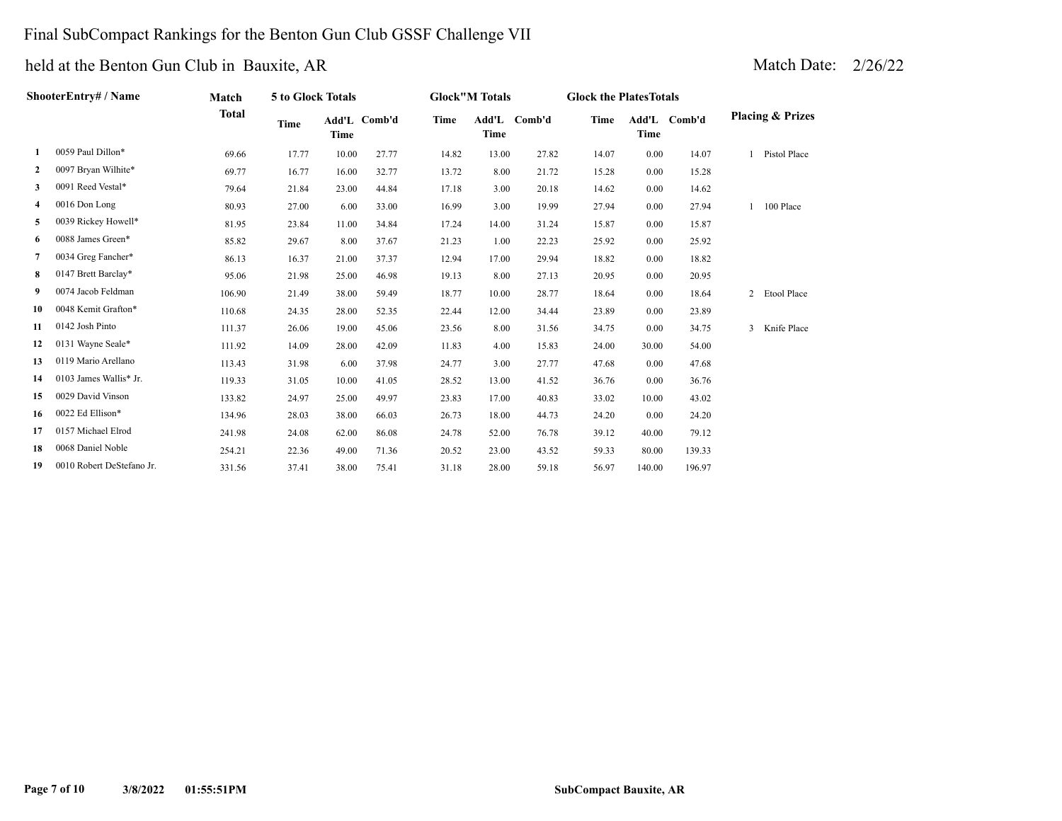### Final SubCompact Rankings for the Benton Gun Club GSSF Challenge VII

|              | ShooterEntry# / Name      | Match        | 5 to Glock Totals |       |              |       | <b>Glock"M Totals</b> |              | <b>Glock the PlatesTotals</b> |        |              |   |                             |
|--------------|---------------------------|--------------|-------------------|-------|--------------|-------|-----------------------|--------------|-------------------------------|--------|--------------|---|-----------------------------|
|              |                           | <b>Total</b> | Time              | Time  | Add'L Comb'd | Time  | <b>Time</b>           | Add'L Comb'd | Time                          | Time   | Add'L Comb'd |   | <b>Placing &amp; Prizes</b> |
| 1            | 0059 Paul Dillon*         | 69.66        | 17.77             | 10.00 | 27.77        | 14.82 | 13.00                 | 27.82        | 14.07                         | 0.00   | 14.07        |   | Pistol Place                |
| $\mathbf{2}$ | 0097 Bryan Wilhite*       | 69.77        | 16.77             | 16.00 | 32.77        | 13.72 | 8.00                  | 21.72        | 15.28                         | 0.00   | 15.28        |   |                             |
| 3            | 0091 Reed Vestal*         | 79.64        | 21.84             | 23.00 | 44.84        | 17.18 | 3.00                  | 20.18        | 14.62                         | 0.00   | 14.62        |   |                             |
| 4            | 0016 Don Long             | 80.93        | 27.00             | 6.00  | 33.00        | 16.99 | 3.00                  | 19.99        | 27.94                         | 0.00   | 27.94        |   | 100 Place                   |
| 5            | 0039 Rickey Howell*       | 81.95        | 23.84             | 11.00 | 34.84        | 17.24 | 14.00                 | 31.24        | 15.87                         | 0.00   | 15.87        |   |                             |
| 6            | 0088 James Green*         | 85.82        | 29.67             | 8.00  | 37.67        | 21.23 | 1.00                  | 22.23        | 25.92                         | 0.00   | 25.92        |   |                             |
| $7^{\circ}$  | 0034 Greg Fancher*        | 86.13        | 16.37             | 21.00 | 37.37        | 12.94 | 17.00                 | 29.94        | 18.82                         | 0.00   | 18.82        |   |                             |
| 8            | 0147 Brett Barclay*       | 95.06        | 21.98             | 25.00 | 46.98        | 19.13 | 8.00                  | 27.13        | 20.95                         | 0.00   | 20.95        |   |                             |
| 9.           | 0074 Jacob Feldman        | 106.90       | 21.49             | 38.00 | 59.49        | 18.77 | 10.00                 | 28.77        | 18.64                         | 0.00   | 18.64        |   | 2 Etool Place               |
| 10           | 0048 Kemit Grafton*       | 110.68       | 24.35             | 28.00 | 52.35        | 22.44 | 12.00                 | 34.44        | 23.89                         | 0.00   | 23.89        |   |                             |
| 11           | 0142 Josh Pinto           | 111.37       | 26.06             | 19.00 | 45.06        | 23.56 | 8.00                  | 31.56        | 34.75                         | 0.00   | 34.75        | 3 | Knife Place                 |
| 12           | 0131 Wayne Seale*         | 111.92       | 14.09             | 28.00 | 42.09        | 11.83 | 4.00                  | 15.83        | 24.00                         | 30.00  | 54.00        |   |                             |
| 13           | 0119 Mario Arellano       | 113.43       | 31.98             | 6.00  | 37.98        | 24.77 | 3.00                  | 27.77        | 47.68                         | 0.00   | 47.68        |   |                             |
| 14           | 0103 James Wallis* Jr.    | 119.33       | 31.05             | 10.00 | 41.05        | 28.52 | 13.00                 | 41.52        | 36.76                         | 0.00   | 36.76        |   |                             |
| 15           | 0029 David Vinson         | 133.82       | 24.97             | 25.00 | 49.97        | 23.83 | 17.00                 | 40.83        | 33.02                         | 10.00  | 43.02        |   |                             |
| 16           | 0022 Ed Ellison*          | 134.96       | 28.03             | 38.00 | 66.03        | 26.73 | 18.00                 | 44.73        | 24.20                         | 0.00   | 24.20        |   |                             |
| 17           | 0157 Michael Elrod        | 241.98       | 24.08             | 62.00 | 86.08        | 24.78 | 52.00                 | 76.78        | 39.12                         | 40.00  | 79.12        |   |                             |
| 18           | 0068 Daniel Noble         | 254.21       | 22.36             | 49.00 | 71.36        | 20.52 | 23.00                 | 43.52        | 59.33                         | 80.00  | 139.33       |   |                             |
| 19           | 0010 Robert DeStefano Jr. | 331.56       | 37.41             | 38.00 | 75.41        | 31.18 | 28.00                 | 59.18        | 56.97                         | 140.00 | 196.97       |   |                             |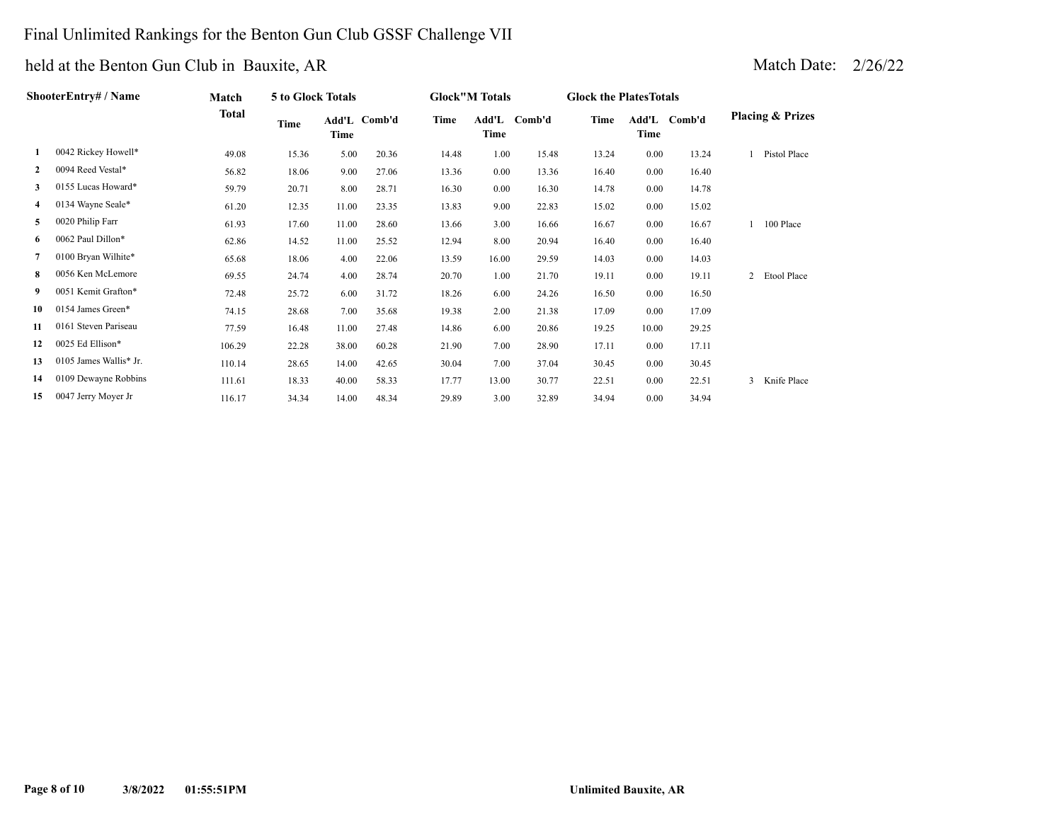### Final Unlimited Rankings for the Benton Gun Club GSSF Challenge VII

### held at the Benton Gun Club in Bauxite, AR Match Date: 2008. Match Date: 2008. Match Date: 2008. Match Date: 2008. Match Date: 2008. Match Date: 2008. Match Date: 2008. Match Date: 2008. Match Date: 2008. Match Date: 2008.

| Iatch Date: | 2/26/22 |
|-------------|---------|
|             |         |

| ShooterEntry# / Name |                        | Match        | 5 to Glock Totals |       |              | <b>Glock"M Totals</b> |               |        | <b>Glock the Plates Totals</b> |       |              |                               |
|----------------------|------------------------|--------------|-------------------|-------|--------------|-----------------------|---------------|--------|--------------------------------|-------|--------------|-------------------------------|
|                      |                        | <b>Total</b> | Time              | Time  | Add'L Comb'd | Time                  | Add'L<br>Time | Comb'd | Time                           | Time  | Add'L Comb'd | <b>Placing &amp; Prizes</b>   |
| 1                    | 0042 Rickey Howell*    | 49.08        | 15.36             | 5.00  | 20.36        | 14.48                 | 1.00          | 15.48  | 13.24                          | 0.00  | 13.24        | Pistol Place                  |
| $\mathbf{2}$         | 0094 Reed Vestal*      | 56.82        | 18.06             | 9.00  | 27.06        | 13.36                 | 0.00          | 13.36  | 16.40                          | 0.00  | 16.40        |                               |
| 3                    | 0155 Lucas Howard*     | 59.79        | 20.71             | 8.00  | 28.71        | 16.30                 | 0.00          | 16.30  | 14.78                          | 0.00  | 14.78        |                               |
| 4                    | 0134 Wayne Seale*      | 61.20        | 12.35             | 11.00 | 23.35        | 13.83                 | 9.00          | 22.83  | 15.02                          | 0.00  | 15.02        |                               |
| 5                    | 0020 Philip Farr       | 61.93        | 17.60             | 11.00 | 28.60        | 13.66                 | 3.00          | 16.66  | 16.67                          | 0.00  | 16.67        | 100 Place                     |
| 6                    | 0062 Paul Dillon*      | 62.86        | 14.52             | 11.00 | 25.52        | 12.94                 | 8.00          | 20.94  | 16.40                          | 0.00  | 16.40        |                               |
| 7                    | 0100 Bryan Wilhite*    | 65.68        | 18.06             | 4.00  | 22.06        | 13.59                 | 16.00         | 29.59  | 14.03                          | 0.00  | 14.03        |                               |
| 8                    | 0056 Ken McLemore      | 69.55        | 24.74             | 4.00  | 28.74        | 20.70                 | 1.00          | 21.70  | 19.11                          | 0.00  | 19.11        | $\overline{c}$<br>Etool Place |
| 9.                   | 0051 Kemit Grafton*    | 72.48        | 25.72             | 6.00  | 31.72        | 18.26                 | 6.00          | 24.26  | 16.50                          | 0.00  | 16.50        |                               |
| 10                   | 0154 James Green*      | 74.15        | 28.68             | 7.00  | 35.68        | 19.38                 | 2.00          | 21.38  | 17.09                          | 0.00  | 17.09        |                               |
| 11                   | 0161 Steven Pariseau   | 77.59        | 16.48             | 11.00 | 27.48        | 14.86                 | 6.00          | 20.86  | 19.25                          | 10.00 | 29.25        |                               |
| 12                   | 0025 Ed Ellison*       | 106.29       | 22.28             | 38.00 | 60.28        | 21.90                 | 7.00          | 28.90  | 17.11                          | 0.00  | 17.11        |                               |
| 13                   | 0105 James Wallis* Jr. | 110.14       | 28.65             | 14.00 | 42.65        | 30.04                 | 7.00          | 37.04  | 30.45                          | 0.00  | 30.45        |                               |
| 14                   | 0109 Dewayne Robbins   | 111.61       | 18.33             | 40.00 | 58.33        | 17.77                 | 13.00         | 30.77  | 22.51                          | 0.00  | 22.51        | Knife Place                   |
| 15                   | 0047 Jerry Moyer Jr    | 116.17       | 34.34             | 14.00 | 48.34        | 29.89                 | 3.00          | 32.89  | 34.94                          | 0.00  | 34.94        |                               |